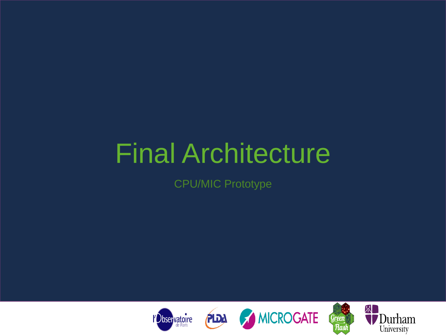# Final Architecture

CPU/MIC Prototype



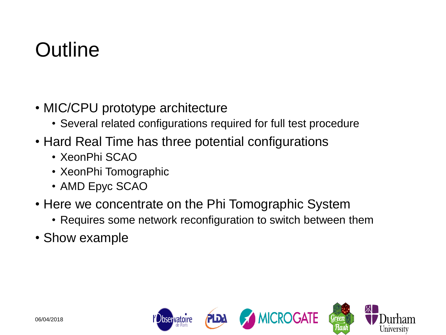## **Outline**

- MIC/CPU prototype architecture
	- Several related configurations required for full test procedure
- Hard Real Time has three potential configurations
	- XeonPhi SCAO
	- XeonPhi Tomographic
	- AMD Epyc SCAO
- Here we concentrate on the Phi Tomographic System
	- Requires some network reconfiguration to switch between them
- Show example

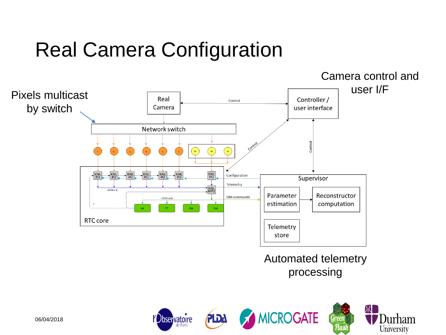## Real Camera Configuration



Flasl

University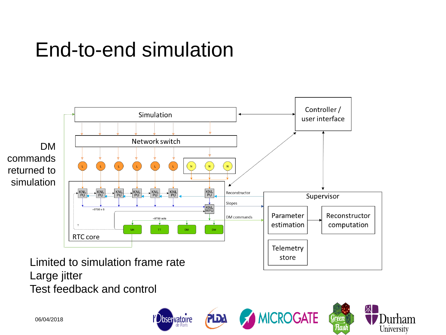#### End-to-end simulation



PLDA

*Dbservatoire* 

茶

[ Green Нал Jurham

University

**MICROGATE** 

Limited to simulation frame rate Large jitter Test feedback and control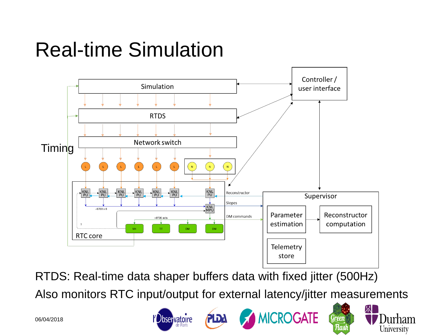#### Real-time Simulation



RTDS: Real-time data shaper buffers data with fixed jitter (500Hz) Also monitors RTC input/output for external latency/jitter measurements

**PLDA** 

**Observatoire** 

**MICROGATE** 

Green Flası **Durham** 

University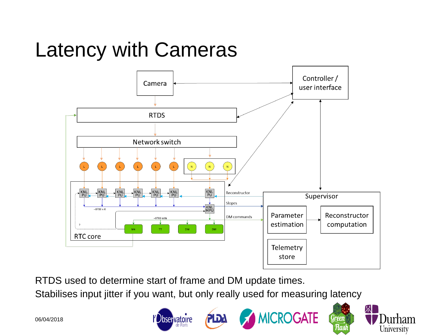# Latency with Cameras



RTDS used to determine start of frame and DM update times.

**Observatoire** 

Stabilises input jitter if you want, but only really used for measuring latency

PLDA

然

**irham** 

University

Green

Flasl

**MICROGATE** 

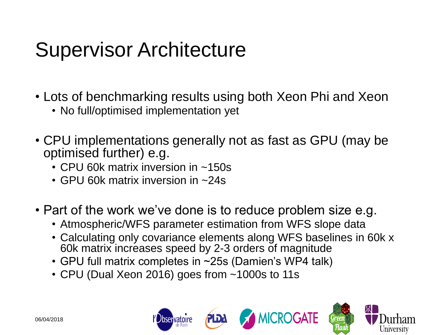## Supervisor Architecture

- Lots of benchmarking results using both Xeon Phi and Xeon
	- No full/optimised implementation yet
- CPU implementations generally not as fast as GPU (may be optimised further) e.g.
	- CPU 60k matrix inversion in ~150s
	- GPU 60k matrix inversion in ~24s
- Part of the work we've done is to reduce problem size e.g.
	- Atmospheric/WFS parameter estimation from WFS slope data
	- Calculating only covariance elements along WFS baselines in 60k x 60k matrix increases speed by 2-3 orders of magnitude
	- GPU full matrix completes in ~25s (Damien's WP4 talk)
	- CPU (Dual Xeon 2016) goes from ~1000s to 11s

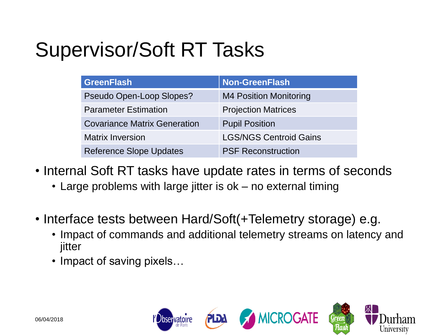# Supervisor/Soft RT Tasks

| <b>GreenFlash</b>                   | <b>Non-GreenFlash</b>         |
|-------------------------------------|-------------------------------|
| Pseudo Open-Loop Slopes?            | <b>M4 Position Monitoring</b> |
| <b>Parameter Estimation</b>         | <b>Projection Matrices</b>    |
| <b>Covariance Matrix Generation</b> | <b>Pupil Position</b>         |
| <b>Matrix Inversion</b>             | <b>LGS/NGS Centroid Gains</b> |
| <b>Reference Slope Updates</b>      | <b>PSF Reconstruction</b>     |

- Internal Soft RT tasks have update rates in terms of seconds
	- Large problems with large jitter is ok no external timing
- Interface tests between Hard/Soft(+Telemetry storage) e.g.
	- Impact of commands and additional telemetry streams on latency and jitter
	- Impact of saving pixels...